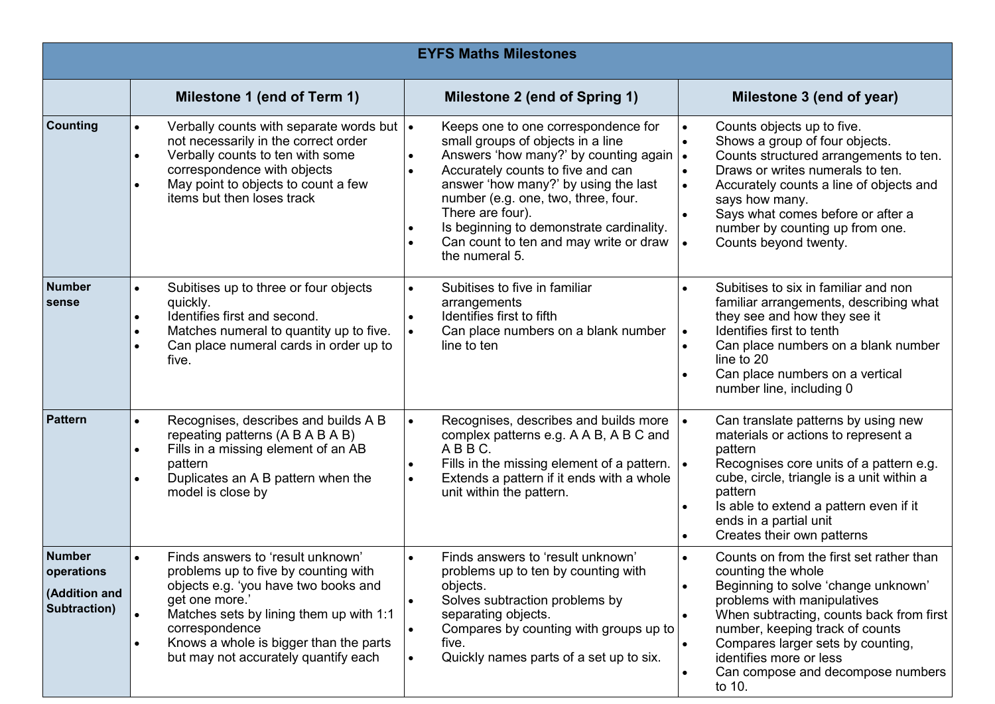| <b>EYFS Maths Milestones</b>                                 |                                                                                                                                                                                                                                                                                    |                                                                                                                                                                                                                                                                                                                                                                                                |                                                                                                                                                                                                                                                                                                                                    |  |  |  |
|--------------------------------------------------------------|------------------------------------------------------------------------------------------------------------------------------------------------------------------------------------------------------------------------------------------------------------------------------------|------------------------------------------------------------------------------------------------------------------------------------------------------------------------------------------------------------------------------------------------------------------------------------------------------------------------------------------------------------------------------------------------|------------------------------------------------------------------------------------------------------------------------------------------------------------------------------------------------------------------------------------------------------------------------------------------------------------------------------------|--|--|--|
|                                                              | Milestone 1 (end of Term 1)                                                                                                                                                                                                                                                        | Milestone 2 (end of Spring 1)                                                                                                                                                                                                                                                                                                                                                                  | Milestone 3 (end of year)                                                                                                                                                                                                                                                                                                          |  |  |  |
| <b>Counting</b>                                              | Verbally counts with separate words but  .<br>not necessarily in the correct order<br>Verbally counts to ten with some<br>correspondence with objects<br>May point to objects to count a few<br>items but then loses track                                                         | Keeps one to one correspondence for<br>small groups of objects in a line<br>Answers 'how many?' by counting again  .<br>$\bullet$<br>Accurately counts to five and can<br>$\bullet$<br>answer 'how many?' by using the last<br>number (e.g. one, two, three, four.<br>There are four).<br>Is beginning to demonstrate cardinality.<br>Can count to ten and may write or draw<br>the numeral 5. | Counts objects up to five.<br>Shows a group of four objects.<br>Counts structured arrangements to ten.<br>Draws or writes numerals to ten.<br>Accurately counts a line of objects and<br>says how many.<br>Says what comes before or after a<br>number by counting up from one.<br>Counts beyond twenty.                           |  |  |  |
| <b>Number</b><br>sense                                       | Subitises up to three or four objects<br>quickly.<br>Identifies first and second.<br>Matches numeral to quantity up to five.<br>Can place numeral cards in order up to<br>five.                                                                                                    | Subitises to five in familiar<br>arrangements<br>Identifies first to fifth<br>$\bullet$<br>Can place numbers on a blank number<br>line to ten                                                                                                                                                                                                                                                  | Subitises to six in familiar and non<br>familiar arrangements, describing what<br>they see and how they see it<br>Identifies first to tenth<br>$\bullet$<br>Can place numbers on a blank number<br>line to 20<br>Can place numbers on a vertical<br>number line, including 0                                                       |  |  |  |
| <b>Pattern</b>                                               | Recognises, describes and builds A B<br>repeating patterns (A B A B A B)<br>Fills in a missing element of an AB<br>pattern<br>Duplicates an A B pattern when the<br>model is close by                                                                                              | Recognises, describes and builds more<br>$\bullet$<br>complex patterns e.g. A A B, A B C and<br>ABBC.<br>Fills in the missing element of a pattern.<br>$\bullet$<br>Extends a pattern if it ends with a whole<br>$\bullet$<br>unit within the pattern.                                                                                                                                         | Can translate patterns by using new<br>materials or actions to represent a<br>pattern<br>Recognises core units of a pattern e.g.<br>cube, circle, triangle is a unit within a<br>pattern<br>Is able to extend a pattern even if it<br>ends in a partial unit<br>Creates their own patterns                                         |  |  |  |
| <b>Number</b><br>operations<br>(Addition and<br>Subtraction) | Finds answers to 'result unknown'<br>problems up to five by counting with<br>objects e.g. 'you have two books and<br>get one more.'<br>Matches sets by lining them up with 1:1<br>correspondence<br>Knows a whole is bigger than the parts<br>but may not accurately quantify each | Finds answers to 'result unknown'<br>$\bullet$<br>problems up to ten by counting with<br>objects.<br>Solves subtraction problems by<br>$\bullet$<br>separating objects.<br>Compares by counting with groups up to<br>$\bullet$<br>five.<br>Quickly names parts of a set up to six.<br>$\bullet$                                                                                                | Counts on from the first set rather than<br>counting the whole<br>Beginning to solve 'change unknown'<br>problems with manipulatives<br>When subtracting, counts back from first<br>number, keeping track of counts<br>Compares larger sets by counting,<br>identifies more or less<br>Can compose and decompose numbers<br>to 10. |  |  |  |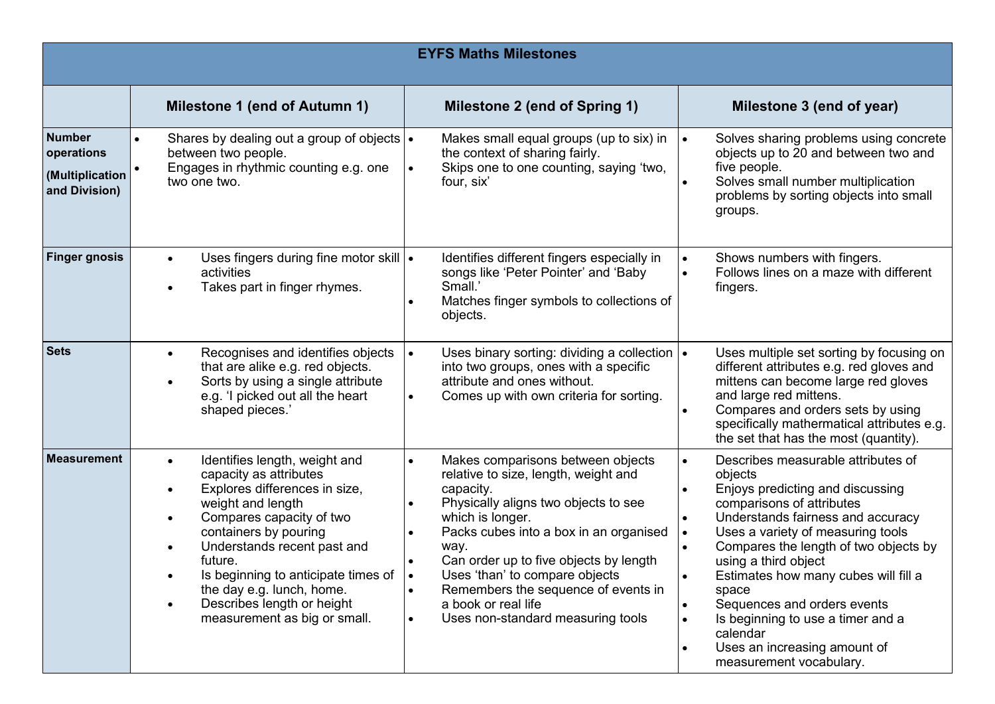| <b>EYFS Maths Milestones</b>                                    |                                                                                                                                                                                                                                                                                                                                                                          |                                                                                                                                                                                                                                                                                                                                                                                                                                               |                                                                                                                                                                                                                                                                                                                                                                                                                                                                                              |  |  |  |
|-----------------------------------------------------------------|--------------------------------------------------------------------------------------------------------------------------------------------------------------------------------------------------------------------------------------------------------------------------------------------------------------------------------------------------------------------------|-----------------------------------------------------------------------------------------------------------------------------------------------------------------------------------------------------------------------------------------------------------------------------------------------------------------------------------------------------------------------------------------------------------------------------------------------|----------------------------------------------------------------------------------------------------------------------------------------------------------------------------------------------------------------------------------------------------------------------------------------------------------------------------------------------------------------------------------------------------------------------------------------------------------------------------------------------|--|--|--|
|                                                                 | <b>Milestone 1 (end of Autumn 1)</b>                                                                                                                                                                                                                                                                                                                                     | Milestone 2 (end of Spring 1)                                                                                                                                                                                                                                                                                                                                                                                                                 | Milestone 3 (end of year)                                                                                                                                                                                                                                                                                                                                                                                                                                                                    |  |  |  |
| <b>Number</b><br>operations<br>(Multiplication<br>and Division) | Shares by dealing out a group of objects   •<br>between two people.<br>Engages in rhythmic counting e.g. one<br>two one two.                                                                                                                                                                                                                                             | Makes small equal groups (up to six) in<br>the context of sharing fairly.<br>Skips one to one counting, saying 'two,<br>$\bullet$<br>four, six'                                                                                                                                                                                                                                                                                               | Solves sharing problems using concrete<br>objects up to 20 and between two and<br>five people.<br>Solves small number multiplication<br>problems by sorting objects into small<br>groups.                                                                                                                                                                                                                                                                                                    |  |  |  |
| <b>Finger gnosis</b>                                            | Uses fingers during fine motor skill  .<br>$\bullet$<br>activities<br>Takes part in finger rhymes.<br>$\bullet$                                                                                                                                                                                                                                                          | Identifies different fingers especially in<br>songs like 'Peter Pointer' and 'Baby<br>Small.'<br>Matches finger symbols to collections of<br>objects.                                                                                                                                                                                                                                                                                         | Shows numbers with fingers.<br>Follows lines on a maze with different<br>fingers.                                                                                                                                                                                                                                                                                                                                                                                                            |  |  |  |
| <b>Sets</b>                                                     | Recognises and identifies objects<br>$\bullet$<br>that are alike e.g. red objects.<br>Sorts by using a single attribute<br>$\bullet$<br>e.g. 'I picked out all the heart<br>shaped pieces.'                                                                                                                                                                              | $\bullet$<br>Uses binary sorting: dividing a collection $\cdot$<br>into two groups, ones with a specific<br>attribute and ones without.<br>Comes up with own criteria for sorting.<br>$\bullet$                                                                                                                                                                                                                                               | Uses multiple set sorting by focusing on<br>different attributes e.g. red gloves and<br>mittens can become large red gloves<br>and large red mittens.<br>Compares and orders sets by using<br>specifically mathermatical attributes e.g.<br>the set that has the most (quantity).                                                                                                                                                                                                            |  |  |  |
| <b>Measurement</b>                                              | Identifies length, weight and<br>$\bullet$<br>capacity as attributes<br>Explores differences in size,<br>$\bullet$<br>weight and length<br>Compares capacity of two<br>containers by pouring<br>Understands recent past and<br>future.<br>Is beginning to anticipate times of<br>the day e.g. lunch, home.<br>Describes length or height<br>measurement as big or small. | Makes comparisons between objects<br>$\bullet$<br>relative to size, length, weight and<br>capacity.<br>Physically aligns two objects to see<br>which is longer.<br>Packs cubes into a box in an organised<br>way.<br>Can order up to five objects by length<br>$\bullet$<br>Uses 'than' to compare objects<br>∣•<br>Remembers the sequence of events in<br>$\bullet$<br>a book or real life<br>Uses non-standard measuring tools<br>$\bullet$ | Describes measurable attributes of<br>$\bullet$<br>objects<br>Enjoys predicting and discussing<br>comparisons of attributes<br>Understands fairness and accuracy<br>Uses a variety of measuring tools<br>$\bullet$<br>Compares the length of two objects by<br>using a third object<br>Estimates how many cubes will fill a<br>space<br>Sequences and orders events<br>Is beginning to use a timer and a<br>calendar<br>Uses an increasing amount of<br>$\bullet$<br>measurement vocabulary. |  |  |  |